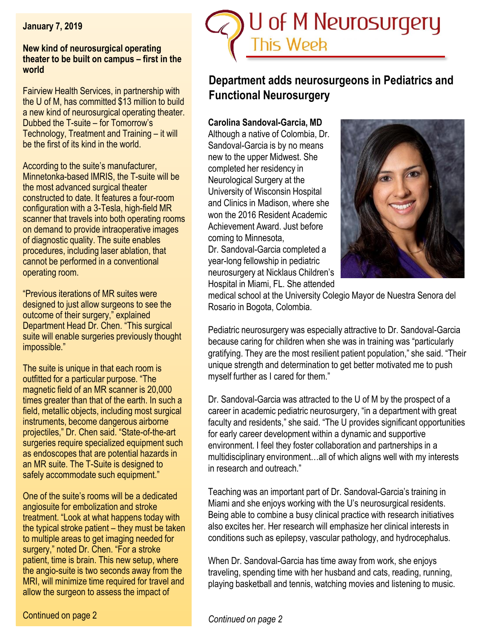**January 7, 2019**

#### **New kind of neurosurgical operating theater to be built on campus – first in the world**

Fairview Health Services, in partnership with the U of M, has committed \$13 million to build a new kind of neurosurgical operating theater. Dubbed the T-suite – for Tomorrow's Technology, Treatment and Training – it will be the first of its kind in the world.

According to the suite's manufacturer, Minnetonka-based IMRIS, the T-suite will be the most advanced surgical theater constructed to date. It features a four-room configuration with a 3-Tesla, high-field MR scanner that travels into both operating rooms on demand to provide intraoperative images of diagnostic quality. The suite enables procedures, including laser ablation, that cannot be performed in a conventional operating room.

"Previous iterations of MR suites were designed to just allow surgeons to see the outcome of their surgery," explained Department Head Dr. Chen. "This surgical suite will enable surgeries previously thought impossible."

The suite is unique in that each room is outfitted for a particular purpose. "The magnetic field of an MR scanner is 20,000 times greater than that of the earth. In such a field, metallic objects, including most surgical instruments, become dangerous airborne projectiles," Dr. Chen said. "State-of-the-art surgeries require specialized equipment such as endoscopes that are potential hazards in an MR suite. The T-Suite is designed to safely accommodate such equipment."

One of the suite's rooms will be a dedicated angiosuite for embolization and stroke treatment. "Look at what happens today with the typical stroke patient – they must be taken to multiple areas to get imaging needed for surgery," noted Dr. Chen. "For a stroke patient, time is brain. This new setup, where the angio-suite is two seconds away from the MRI, will minimize time required for travel and allow the surgeon to assess the impact of



# **Department adds neurosurgeons in Pediatrics and Functional Neurosurgery**

# **Carolina Sandoval-Garcia, MD**

Although a native of Colombia, Dr. Sandoval-Garcia is by no means new to the upper Midwest. She completed her residency in Neurological Surgery at the University of Wisconsin Hospital and Clinics in Madison, where she won the 2016 Resident Academic Achievement Award. Just before coming to Minnesota,

Dr. Sandoval-Garcia completed a year-long fellowship in pediatric neurosurgery at Nicklaus Children's Hospital in Miami, FL. She attended



medical school at the University Colegio Mayor de Nuestra Senora del Rosario in Bogota, Colombia.

Pediatric neurosurgery was especially attractive to Dr. Sandoval-Garcia because caring for children when she was in training was "particularly gratifying. They are the most resilient patient population," she said. "Their unique strength and determination to get better motivated me to push myself further as I cared for them."

Dr. Sandoval-Garcia was attracted to the U of M by the prospect of a career in academic pediatric neurosurgery, "in a department with great faculty and residents," she said. "The U provides significant opportunities for early career development within a dynamic and supportive environment. I feel they foster collaboration and partnerships in a multidisciplinary environment…all of which aligns well with my interests in research and outreach."

Teaching was an important part of Dr. Sandoval-Garcia's training in Miami and she enjoys working with the U's neurosurgical residents. Being able to combine a busy clinical practice with research initiatives also excites her. Her research will emphasize her clinical interests in conditions such as epilepsy, vascular pathology, and hydrocephalus.

When Dr. Sandoval-Garcia has time away from work, she enjoys traveling, spending time with her husband and cats, reading, running, playing basketball and tennis, watching movies and listening to music.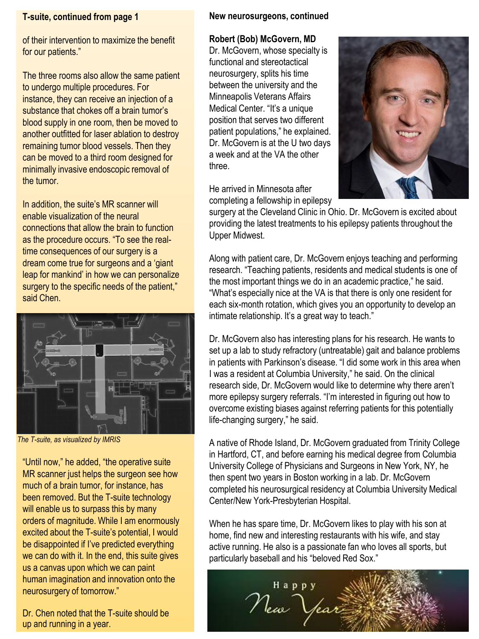### **T-suite, continued from page 1**

of their intervention to maximize the benefit for our patients."

The three rooms also allow the same patient to undergo multiple procedures. For instance, they can receive an injection of a substance that chokes off a brain tumor's blood supply in one room, then be moved to another outfitted for laser ablation to destroy remaining tumor blood vessels. Then they can be moved to a third room designed for minimally invasive endoscopic removal of the tumor.

In addition, the suite's MR scanner will enable visualization of the neural connections that allow the brain to function as the procedure occurs. "To see the realtime consequences of our surgery is a dream come true for surgeons and a 'giant leap for mankind' in how we can personalize surgery to the specific needs of the patient," said Chen.



*The T-suite, as visualized by IMRIS*

"Until now," he added, "the operative suite MR scanner just helps the surgeon see how much of a brain tumor, for instance, has been removed. But the T-suite technology will enable us to surpass this by many orders of magnitude. While I am enormously excited about the T-suite's potential, I would be disappointed if I've predicted everything we can do with it. In the end, this suite gives us a canvas upon which we can paint human imagination and innovation onto the neurosurgery of tomorrow."

Dr. Chen noted that the T-suite should be up and running in a year.

## **New neurosurgeons, continued**

# **Robert (Bob) McGovern, MD**

Dr. McGovern, whose specialty is functional and stereotactical neurosurgery, splits his time between the university and the Minneapolis Veterans Affairs Medical Center. "It's a unique position that serves two different patient populations," he explained. Dr. McGovern is at the U two days a week and at the VA the other three.



He arrived in Minnesota after completing a fellowship in epilepsy

surgery at the Cleveland Clinic in Ohio. Dr. McGovern is excited about providing the latest treatments to his epilepsy patients throughout the Upper Midwest.

Along with patient care, Dr. McGovern enjoys teaching and performing research. "Teaching patients, residents and medical students is one of the most important things we do in an academic practice," he said. "What's especially nice at the VA is that there is only one resident for each six-month rotation, which gives you an opportunity to develop an intimate relationship. It's a great way to teach."

Dr. McGovern also has interesting plans for his research. He wants to set up a lab to study refractory (untreatable) gait and balance problems in patients with Parkinson's disease. "I did some work in this area when I was a resident at Columbia University," he said. On the clinical research side, Dr. McGovern would like to determine why there aren't more epilepsy surgery referrals. "I'm interested in figuring out how to overcome existing biases against referring patients for this potentially life-changing surgery," he said.

A native of Rhode Island, Dr. McGovern graduated from Trinity College in Hartford, CT, and before earning his medical degree from Columbia University College of Physicians and Surgeons in New York, NY, he then spent two years in Boston working in a lab. Dr. McGovern completed his neurosurgical residency at Columbia University Medical Center/New York-Presbyterian Hospital.

When he has spare time, Dr. McGovern likes to play with his son at home, find new and interesting restaurants with his wife, and stay active running. He also is a passionate fan who loves all sports, but particularly baseball and his "beloved Red Sox."